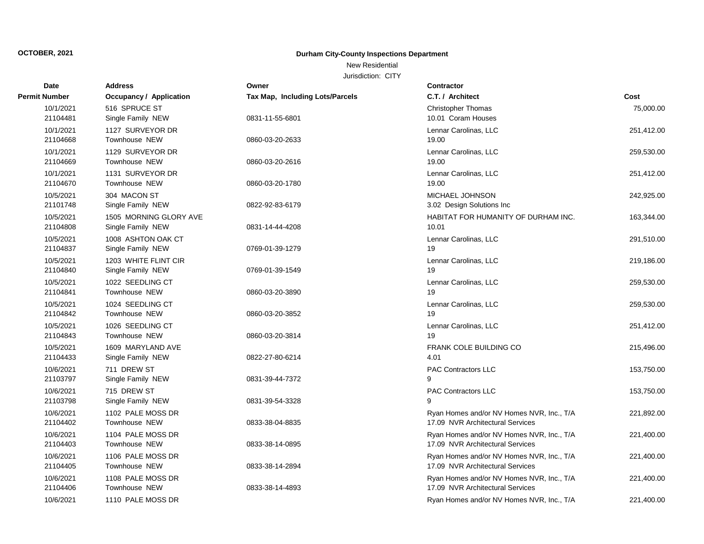New Residential

| Date                  | <b>Address</b>                              | Owner                                  | <b>Contractor</b>                                                             |            |
|-----------------------|---------------------------------------------|----------------------------------------|-------------------------------------------------------------------------------|------------|
| <b>Permit Number</b>  | Occupancy / Application                     | <b>Tax Map, Including Lots/Parcels</b> | C.T. / Architect                                                              | Cost       |
| 10/1/2021<br>21104481 | 516 SPRUCE ST<br>Single Family NEW          | 0831-11-55-6801                        | <b>Christopher Thomas</b><br>10.01 Coram Houses                               | 75,000.00  |
| 10/1/2021<br>21104668 | 1127 SURVEYOR DR<br><b>Townhouse NEW</b>    | 0860-03-20-2633                        | Lennar Carolinas, LLC<br>19.00                                                | 251,412.00 |
| 10/1/2021<br>21104669 | 1129 SURVEYOR DR<br>Townhouse NEW           | 0860-03-20-2616                        | Lennar Carolinas, LLC<br>19.00                                                | 259,530.00 |
| 10/1/2021<br>21104670 | 1131 SURVEYOR DR<br>Townhouse NEW           | 0860-03-20-1780                        | Lennar Carolinas, LLC<br>19.00                                                | 251,412.00 |
| 10/5/2021<br>21101748 | 304 MACON ST<br>Single Family NEW           | 0822-92-83-6179                        | <b>MICHAEL JOHNSON</b><br>3.02 Design Solutions Inc                           | 242,925.00 |
| 10/5/2021<br>21104808 | 1505 MORNING GLORY AVE<br>Single Family NEW | 0831-14-44-4208                        | HABITAT FOR HUMANITY OF DURHAM INC.<br>10.01                                  | 163,344.00 |
| 10/5/2021<br>21104837 | 1008 ASHTON OAK CT<br>Single Family NEW     | 0769-01-39-1279                        | Lennar Carolinas, LLC<br>19                                                   | 291,510.00 |
| 10/5/2021<br>21104840 | 1203 WHITE FLINT CIR<br>Single Family NEW   | 0769-01-39-1549                        | Lennar Carolinas, LLC<br>19                                                   | 219,186.00 |
| 10/5/2021<br>21104841 | 1022 SEEDLING CT<br><b>Townhouse NEW</b>    | 0860-03-20-3890                        | Lennar Carolinas, LLC<br>19                                                   | 259,530.00 |
| 10/5/2021<br>21104842 | 1024 SEEDLING CT<br>Townhouse NEW           | 0860-03-20-3852                        | Lennar Carolinas, LLC<br>19                                                   | 259,530.00 |
| 10/5/2021<br>21104843 | 1026 SEEDLING CT<br>Townhouse NEW           | 0860-03-20-3814                        | Lennar Carolinas, LLC<br>19                                                   | 251,412.00 |
| 10/5/2021<br>21104433 | 1609 MARYLAND AVE<br>Single Family NEW      | 0822-27-80-6214                        | <b>FRANK COLE BUILDING CO</b><br>4.01                                         | 215,496.00 |
| 10/6/2021<br>21103797 | 711 DREW ST<br>Single Family NEW            | 0831-39-44-7372                        | <b>PAC Contractors LLC</b><br>9                                               | 153,750.00 |
| 10/6/2021<br>21103798 | 715 DREW ST<br>Single Family NEW            | 0831-39-54-3328                        | PAC Contractors LLC<br>q                                                      | 153,750.00 |
| 10/6/2021<br>21104402 | 1102 PALE MOSS DR<br><b>Townhouse NEW</b>   | 0833-38-04-8835                        | Ryan Homes and/or NV Homes NVR, Inc., T/A<br>17.09 NVR Architectural Services | 221,892.00 |
| 10/6/2021<br>21104403 | 1104 PALE MOSS DR<br><b>Townhouse NEW</b>   | 0833-38-14-0895                        | Ryan Homes and/or NV Homes NVR, Inc., T/A<br>17.09 NVR Architectural Services | 221,400.00 |
| 10/6/2021<br>21104405 | 1106 PALE MOSS DR<br>Townhouse NEW          | 0833-38-14-2894                        | Ryan Homes and/or NV Homes NVR, Inc., T/A<br>17.09 NVR Architectural Services | 221,400.00 |
| 10/6/2021<br>21104406 | 1108 PALE MOSS DR<br><b>Townhouse NEW</b>   | 0833-38-14-4893                        | Ryan Homes and/or NV Homes NVR, Inc., T/A<br>17.09 NVR Architectural Services | 221,400.00 |
| 10/6/2021             | 1110 PALE MOSS DR                           |                                        | Ryan Homes and/or NV Homes NVR, Inc., T/A                                     | 221,400.00 |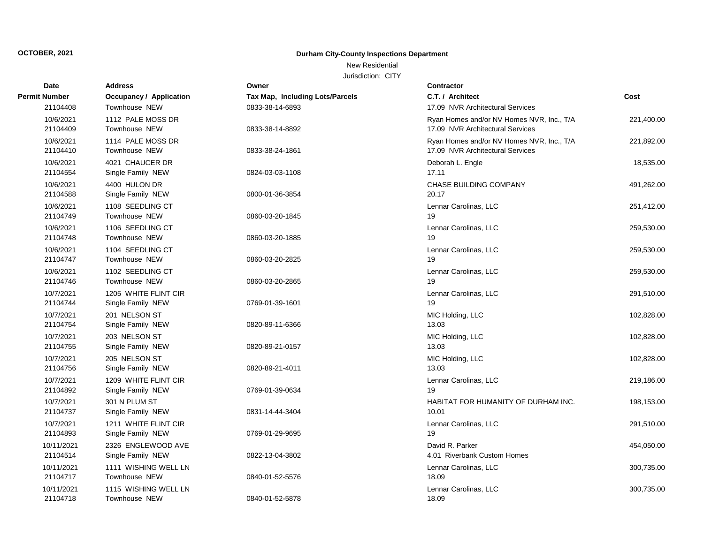### New Residential

| Date                  | <b>Address</b>                     | Owner                           | <b>Contractor</b>                                                             |            |
|-----------------------|------------------------------------|---------------------------------|-------------------------------------------------------------------------------|------------|
| Permit Number         | Occupancy / Application            | Tax Map, Including Lots/Parcels | C.T. / Architect                                                              | Cost       |
| 21104408              | Townhouse NEW                      | 0833-38-14-6893                 | 17.09 NVR Architectural Services                                              |            |
| 10/6/2021             | 1112 PALE MOSS DR                  |                                 | Ryan Homes and/or NV Homes NVR, Inc., T/A                                     | 221,400.00 |
| 21104409              | Townhouse NEW                      | 0833-38-14-8892                 | 17.09 NVR Architectural Services                                              |            |
| 10/6/2021<br>21104410 | 1114 PALE MOSS DR<br>Townhouse NEW | 0833-38-24-1861                 | Ryan Homes and/or NV Homes NVR, Inc., T/A<br>17.09 NVR Architectural Services | 221,892.00 |
| 10/6/2021             | 4021 CHAUCER DR                    |                                 | Deborah L. Engle                                                              | 18,535.00  |
| 21104554              | Single Family NEW                  | 0824-03-03-1108                 | 17.11                                                                         |            |
| 10/6/2021             | 4400 HULON DR                      |                                 | <b>CHASE BUILDING COMPANY</b>                                                 | 491,262.00 |
| 21104588              | Single Family NEW                  | 0800-01-36-3854                 | 20.17                                                                         |            |
| 10/6/2021             | 1108 SEEDLING CT                   |                                 | Lennar Carolinas, LLC                                                         | 251,412.00 |
| 21104749              | Townhouse NEW                      | 0860-03-20-1845                 | 19                                                                            |            |
| 10/6/2021             | 1106 SEEDLING CT                   |                                 | Lennar Carolinas, LLC                                                         | 259,530.00 |
| 21104748              | Townhouse NEW                      | 0860-03-20-1885                 | 19                                                                            |            |
| 10/6/2021             | 1104 SEEDLING CT                   |                                 | Lennar Carolinas, LLC                                                         | 259,530.00 |
| 21104747              | Townhouse NEW                      | 0860-03-20-2825                 | 19                                                                            |            |
| 10/6/2021             | 1102 SEEDLING CT                   |                                 | Lennar Carolinas, LLC                                                         | 259,530.00 |
| 21104746              | <b>Townhouse NEW</b>               | 0860-03-20-2865                 | 19                                                                            |            |
| 10/7/2021             | 1205 WHITE FLINT CIR               |                                 | Lennar Carolinas, LLC                                                         | 291,510.00 |
| 21104744              | Single Family NEW                  | 0769-01-39-1601                 | 19                                                                            |            |
| 10/7/2021             | 201 NELSON ST                      |                                 | MIC Holding, LLC                                                              | 102,828.00 |
| 21104754              | Single Family NEW                  | 0820-89-11-6366                 | 13.03                                                                         |            |
| 10/7/2021             | 203 NELSON ST                      |                                 | MIC Holding, LLC                                                              | 102,828.00 |
| 21104755              | Single Family NEW                  | 0820-89-21-0157                 | 13.03                                                                         |            |
| 10/7/2021             | 205 NELSON ST                      |                                 | MIC Holding, LLC                                                              | 102,828.00 |
| 21104756              | Single Family NEW                  | 0820-89-21-4011                 | 13.03                                                                         |            |
| 10/7/2021             | 1209 WHITE FLINT CIR               |                                 | Lennar Carolinas, LLC                                                         | 219,186.00 |
| 21104892              | Single Family NEW                  | 0769-01-39-0634                 | 19                                                                            |            |
| 10/7/2021             | 301 N PLUM ST                      |                                 | HABITAT FOR HUMANITY OF DURHAM INC.                                           | 198,153.00 |
| 21104737              | Single Family NEW                  | 0831-14-44-3404                 | 10.01                                                                         |            |
| 10/7/2021             | 1211 WHITE FLINT CIR               |                                 | Lennar Carolinas, LLC                                                         | 291,510.00 |
| 21104893              | Single Family NEW                  | 0769-01-29-9695                 | 19                                                                            |            |
| 10/11/2021            | 2326 ENGLEWOOD AVE                 |                                 | David R. Parker                                                               | 454,050.00 |
| 21104514              | Single Family NEW                  | 0822-13-04-3802                 | 4.01 Riverbank Custom Homes                                                   |            |
| 10/11/2021            | 1111 WISHING WELL LN               |                                 | Lennar Carolinas, LLC                                                         | 300,735.00 |
| 21104717              | Townhouse NEW                      | 0840-01-52-5576                 | 18.09                                                                         |            |
| 10/11/2021            | 1115 WISHING WELL LN               |                                 | Lennar Carolinas, LLC                                                         | 300,735.00 |
| 21104718              | Townhouse NEW                      | 0840-01-52-5878                 | 18.09                                                                         |            |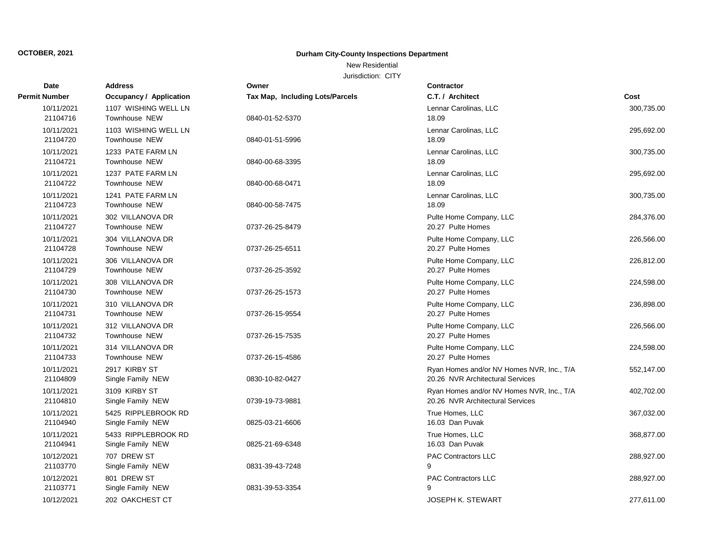## New Residential

| Date                   | <b>Address</b>                               | Owner                           | <b>Contractor</b>                                                             |            |
|------------------------|----------------------------------------------|---------------------------------|-------------------------------------------------------------------------------|------------|
| Permit Number          | <b>Occupancy / Application</b>               | Tax Map, Including Lots/Parcels | C.T. / Architect                                                              | Cost       |
| 10/11/2021<br>21104716 | 1107 WISHING WELL LN<br><b>Townhouse NEW</b> | 0840-01-52-5370                 | Lennar Carolinas, LLC<br>18.09                                                | 300,735.00 |
| 10/11/2021<br>21104720 | 1103 WISHING WELL LN<br><b>Townhouse NEW</b> | 0840-01-51-5996                 | Lennar Carolinas, LLC<br>18.09                                                | 295,692.00 |
| 10/11/2021<br>21104721 | 1233 PATE FARM LN<br><b>Townhouse NEW</b>    | 0840-00-68-3395                 | Lennar Carolinas, LLC<br>18.09                                                | 300,735.00 |
| 10/11/2021<br>21104722 | 1237 PATE FARM LN<br><b>Townhouse NEW</b>    | 0840-00-68-0471                 | Lennar Carolinas, LLC<br>18.09                                                | 295,692.00 |
| 10/11/2021<br>21104723 | 1241 PATE FARM LN<br><b>Townhouse NEW</b>    | 0840-00-58-7475                 | Lennar Carolinas, LLC<br>18.09                                                | 300,735.00 |
| 10/11/2021<br>21104727 | 302 VILLANOVA DR<br><b>Townhouse NEW</b>     | 0737-26-25-8479                 | Pulte Home Company, LLC<br>20.27 Pulte Homes                                  | 284,376.00 |
| 10/11/2021<br>21104728 | 304 VILLANOVA DR<br><b>Townhouse NEW</b>     | 0737-26-25-6511                 | Pulte Home Company, LLC<br>20.27 Pulte Homes                                  | 226,566.00 |
| 10/11/2021<br>21104729 | 306 VILLANOVA DR<br>Townhouse NEW            | 0737-26-25-3592                 | Pulte Home Company, LLC<br>20.27 Pulte Homes                                  | 226,812.00 |
| 10/11/2021<br>21104730 | 308 VILLANOVA DR<br>Townhouse NEW            | 0737-26-25-1573                 | Pulte Home Company, LLC<br>20.27 Pulte Homes                                  | 224,598.00 |
| 10/11/2021<br>21104731 | 310 VILLANOVA DR<br>Townhouse NEW            | 0737-26-15-9554                 | Pulte Home Company, LLC<br>20.27 Pulte Homes                                  | 236,898.00 |
| 10/11/2021<br>21104732 | 312 VILLANOVA DR<br>Townhouse NEW            | 0737-26-15-7535                 | Pulte Home Company, LLC<br>20.27 Pulte Homes                                  | 226,566.00 |
| 10/11/2021<br>21104733 | 314 VILLANOVA DR<br>Townhouse NEW            | 0737-26-15-4586                 | Pulte Home Company, LLC<br>20.27 Pulte Homes                                  | 224,598.00 |
| 10/11/2021<br>21104809 | 2917 KIRBY ST<br>Single Family NEW           | 0830-10-82-0427                 | Ryan Homes and/or NV Homes NVR, Inc., T/A<br>20.26 NVR Architectural Services | 552,147.00 |
| 10/11/2021<br>21104810 | 3109 KIRBY ST<br>Single Family NEW           | 0739-19-73-9881                 | Ryan Homes and/or NV Homes NVR, Inc., T/A<br>20.26 NVR Architectural Services | 402,702.00 |
| 10/11/2021<br>21104940 | 5425 RIPPLEBROOK RD<br>Single Family NEW     | 0825-03-21-6606                 | True Homes, LLC<br>16.03 Dan Puvak                                            | 367,032.00 |
| 10/11/2021<br>21104941 | 5433 RIPPLEBROOK RD<br>Single Family NEW     | 0825-21-69-6348                 | True Homes, LLC<br>16.03 Dan Puvak                                            | 368,877.00 |
| 10/12/2021<br>21103770 | 707 DREW ST<br>Single Family NEW             | 0831-39-43-7248                 | <b>PAC Contractors LLC</b><br>9                                               | 288,927.00 |
| 10/12/2021<br>21103771 | 801 DREW ST<br>Single Family NEW             | 0831-39-53-3354                 | <b>PAC Contractors LLC</b><br>9                                               | 288,927.00 |
| 10/12/2021             | 202 OAKCHEST CT                              |                                 | JOSEPH K. STEWART                                                             | 277.611.00 |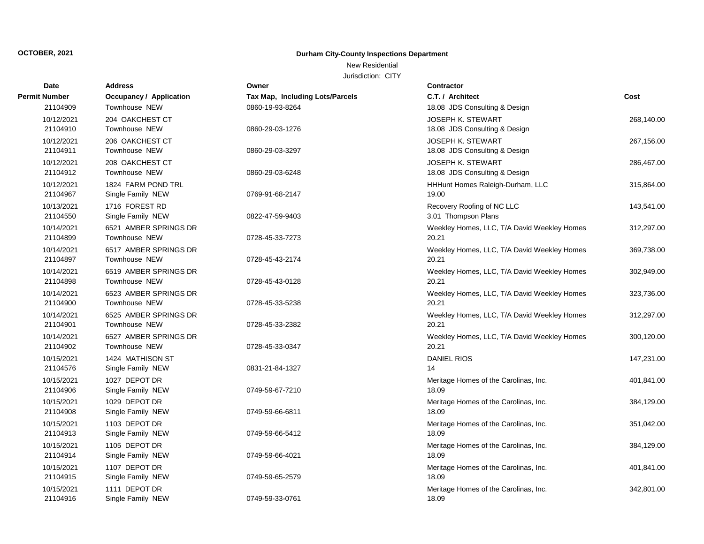### New Residential

| Date                   | <b>Address</b>                     | Owner                           | <b>Contractor</b>                              |            |
|------------------------|------------------------------------|---------------------------------|------------------------------------------------|------------|
| Permit Number          | Occupancy / Application            | Tax Map, Including Lots/Parcels | C.T. / Architect                               | Cost       |
| 21104909               | Townhouse NEW                      | 0860-19-93-8264                 | 18.08 JDS Consulting & Design                  |            |
| 10/12/2021             | 204 OAKCHEST CT                    |                                 | <b>JOSEPH K. STEWART</b>                       | 268,140.00 |
| 21104910               | Townhouse NEW                      | 0860-29-03-1276                 | 18.08 JDS Consulting & Design                  |            |
| 10/12/2021             | 206 OAKCHEST CT                    |                                 | JOSEPH K. STEWART                              | 267,156.00 |
| 21104911               | Townhouse NEW                      | 0860-29-03-3297                 | 18.08 JDS Consulting & Design                  |            |
| 10/12/2021             | 208 OAKCHEST CT                    |                                 | JOSEPH K. STEWART                              | 286,467.00 |
| 21104912               | Townhouse NEW                      | 0860-29-03-6248                 | 18.08 JDS Consulting & Design                  |            |
| 10/12/2021             | 1824 FARM POND TRL                 |                                 | HHHunt Homes Raleigh-Durham, LLC               | 315,864.00 |
| 21104967               | Single Family NEW                  | 0769-91-68-2147                 | 19.00                                          |            |
| 10/13/2021             | 1716 FOREST RD                     |                                 | Recovery Roofing of NC LLC                     | 143,541.00 |
| 21104550               | Single Family NEW                  | 0822-47-59-9403                 | 3.01 Thompson Plans                            |            |
| 10/14/2021             | 6521 AMBER SPRINGS DR              |                                 | Weekley Homes, LLC, T/A David Weekley Homes    | 312,297.00 |
| 21104899               | Townhouse NEW                      | 0728-45-33-7273                 | 20.21                                          |            |
| 10/14/2021             | 6517 AMBER SPRINGS DR              |                                 | Weekley Homes, LLC, T/A David Weekley Homes    | 369,738.00 |
| 21104897               | Townhouse NEW                      | 0728-45-43-2174                 | 20.21                                          |            |
| 10/14/2021             | 6519 AMBER SPRINGS DR              |                                 | Weekley Homes, LLC, T/A David Weekley Homes    | 302,949.00 |
| 21104898               | <b>Townhouse NEW</b>               | 0728-45-43-0128                 | 20.21                                          |            |
| 10/14/2021             | 6523 AMBER SPRINGS DR              |                                 | Weekley Homes, LLC, T/A David Weekley Homes    | 323,736.00 |
| 21104900               | Townhouse NEW                      | 0728-45-33-5238                 | 20.21                                          |            |
| 10/14/2021             | 6525 AMBER SPRINGS DR              |                                 | Weekley Homes, LLC, T/A David Weekley Homes    | 312,297.00 |
| 21104901               | <b>Townhouse NEW</b>               | 0728-45-33-2382                 | 20.21                                          |            |
| 10/14/2021             | 6527 AMBER SPRINGS DR              |                                 | Weekley Homes, LLC, T/A David Weekley Homes    | 300,120.00 |
| 21104902               | Townhouse NEW                      | 0728-45-33-0347                 | 20.21                                          |            |
| 10/15/2021             | 1424 MATHISON ST                   |                                 | <b>DANIEL RIOS</b>                             | 147,231.00 |
| 21104576               | Single Family NEW                  | 0831-21-84-1327                 | 14                                             |            |
| 10/15/2021             | 1027 DEPOT DR                      |                                 | Meritage Homes of the Carolinas, Inc.          | 401,841.00 |
| 21104906               | Single Family NEW                  | 0749-59-67-7210                 | 18.09                                          |            |
| 10/15/2021             | 1029 DEPOT DR                      |                                 | Meritage Homes of the Carolinas, Inc.          | 384,129.00 |
| 21104908               | Single Family NEW                  | 0749-59-66-6811                 | 18.09                                          |            |
| 10/15/2021             | 1103 DEPOT DR                      |                                 | Meritage Homes of the Carolinas, Inc.          | 351,042.00 |
| 21104913               | Single Family NEW                  | 0749-59-66-5412                 | 18.09                                          |            |
| 10/15/2021             | 1105 DEPOT DR                      |                                 | Meritage Homes of the Carolinas, Inc.          | 384,129.00 |
| 21104914               | Single Family NEW                  | 0749-59-66-4021                 | 18.09                                          |            |
| 10/15/2021             | 1107 DEPOT DR                      |                                 | Meritage Homes of the Carolinas, Inc.          | 401,841.00 |
| 21104915               | Single Family NEW                  | 0749-59-65-2579                 | 18.09                                          |            |
| 10/15/2021<br>21104916 | 1111 DEPOT DR<br>Single Family NEW | 0749-59-33-0761                 | Meritage Homes of the Carolinas, Inc.<br>18.09 | 342,801.00 |
|                        |                                    |                                 |                                                |            |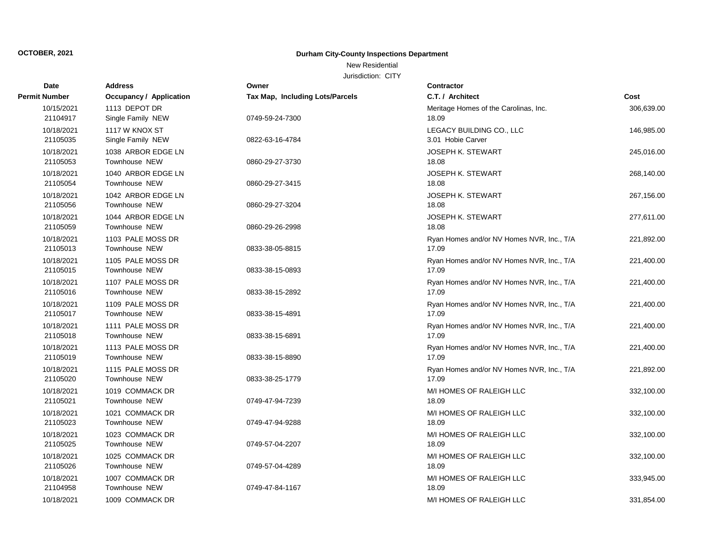New Residential

| <b>Date</b>            | <b>Address</b>                            | Owner                           | <b>Contractor</b>                                  |            |
|------------------------|-------------------------------------------|---------------------------------|----------------------------------------------------|------------|
| <b>Permit Number</b>   | <b>Occupancy / Application</b>            | Tax Map, Including Lots/Parcels | C.T. / Architect                                   | Cost       |
| 10/15/2021<br>21104917 | 1113 DEPOT DR<br>Single Family NEW        | 0749-59-24-7300                 | Meritage Homes of the Carolinas, Inc.<br>18.09     | 306,639.00 |
| 10/18/2021<br>21105035 | 1117 W KNOX ST<br>Single Family NEW       | 0822-63-16-4784                 | LEGACY BUILDING CO., LLC<br>3.01 Hobie Carver      | 146,985.00 |
| 10/18/2021<br>21105053 | 1038 ARBOR EDGE LN<br>Townhouse NEW       | 0860-29-27-3730                 | <b>JOSEPH K. STEWART</b><br>18.08                  | 245,016.00 |
| 10/18/2021<br>21105054 | 1040 ARBOR EDGE LN<br>Townhouse NEW       | 0860-29-27-3415                 | <b>JOSEPH K. STEWART</b><br>18.08                  | 268,140.00 |
| 10/18/2021<br>21105056 | 1042 ARBOR EDGE LN<br>Townhouse NEW       | 0860-29-27-3204                 | <b>JOSEPH K. STEWART</b><br>18.08                  | 267,156.00 |
| 10/18/2021<br>21105059 | 1044 ARBOR EDGE LN<br>Townhouse NEW       | 0860-29-26-2998                 | <b>JOSEPH K. STEWART</b><br>18.08                  | 277,611.00 |
| 10/18/2021<br>21105013 | 1103 PALE MOSS DR<br>Townhouse NEW        | 0833-38-05-8815                 | Ryan Homes and/or NV Homes NVR, Inc., T/A<br>17.09 | 221,892.00 |
| 10/18/2021<br>21105015 | 1105 PALE MOSS DR<br>Townhouse NEW        | 0833-38-15-0893                 | Ryan Homes and/or NV Homes NVR, Inc., T/A<br>17.09 | 221,400.00 |
| 10/18/2021<br>21105016 | 1107 PALE MOSS DR<br>Townhouse NEW        | 0833-38-15-2892                 | Ryan Homes and/or NV Homes NVR, Inc., T/A<br>17.09 | 221,400.00 |
| 10/18/2021<br>21105017 | 1109 PALE MOSS DR<br>Townhouse NEW        | 0833-38-15-4891                 | Ryan Homes and/or NV Homes NVR, Inc., T/A<br>17.09 | 221,400.00 |
| 10/18/2021<br>21105018 | 1111 PALE MOSS DR<br><b>Townhouse NEW</b> | 0833-38-15-6891                 | Ryan Homes and/or NV Homes NVR, Inc., T/A<br>17.09 | 221,400.00 |
| 10/18/2021<br>21105019 | 1113 PALE MOSS DR<br>Townhouse NEW        | 0833-38-15-8890                 | Ryan Homes and/or NV Homes NVR, Inc., T/A<br>17.09 | 221,400.00 |
| 10/18/2021<br>21105020 | 1115 PALE MOSS DR<br><b>Townhouse NEW</b> | 0833-38-25-1779                 | Ryan Homes and/or NV Homes NVR, Inc., T/A<br>17.09 | 221,892.00 |
| 10/18/2021<br>21105021 | 1019 COMMACK DR<br><b>Townhouse NEW</b>   | 0749-47-94-7239                 | M/I HOMES OF RALEIGH LLC<br>18.09                  | 332,100.00 |
| 10/18/2021<br>21105023 | 1021 COMMACK DR<br>Townhouse NEW          | 0749-47-94-9288                 | M/I HOMES OF RALEIGH LLC<br>18.09                  | 332,100.00 |
| 10/18/2021<br>21105025 | 1023 COMMACK DR<br><b>Townhouse NEW</b>   | 0749-57-04-2207                 | M/I HOMES OF RALEIGH LLC<br>18.09                  | 332,100.00 |
| 10/18/2021<br>21105026 | 1025 COMMACK DR<br>Townhouse NEW          | 0749-57-04-4289                 | M/I HOMES OF RALEIGH LLC<br>18.09                  | 332,100.00 |
| 10/18/2021<br>21104958 | 1007 COMMACK DR<br><b>Townhouse NEW</b>   | 0749-47-84-1167                 | M/I HOMES OF RALEIGH LLC<br>18.09                  | 333,945.00 |
| 10/18/2021             | 1009 COMMACK DR                           |                                 | M/I HOMES OF RALEIGH LLC                           | 331.854.00 |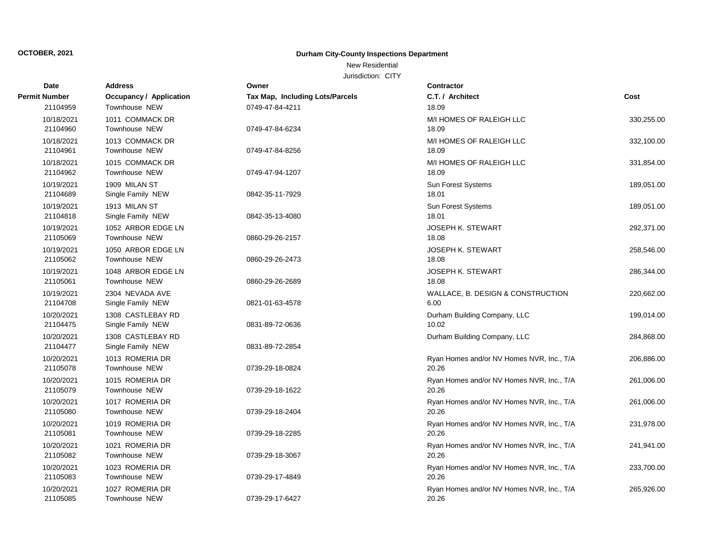### New Residential

| Date                   | <b>Address</b>                             | Owner                                  | <b>Contractor</b>                                  |            |
|------------------------|--------------------------------------------|----------------------------------------|----------------------------------------------------|------------|
| <b>Permit Number</b>   | Occupancy / Application                    | <b>Tax Map, Including Lots/Parcels</b> | C.T. / Architect                                   | Cost       |
| 21104959               | Townhouse NEW                              | 0749-47-84-4211                        | 18.09                                              |            |
| 10/18/2021<br>21104960 | 1011 COMMACK DR<br>Townhouse NEW           | 0749-47-84-6234                        | M/I HOMES OF RALEIGH LLC<br>18.09                  | 330,255.00 |
| 10/18/2021<br>21104961 | 1013 COMMACK DR<br><b>Townhouse NEW</b>    | 0749-47-84-8256                        | M/I HOMES OF RALEIGH LLC<br>18.09                  | 332,100.00 |
| 10/18/2021<br>21104962 | 1015 COMMACK DR<br><b>Townhouse NEW</b>    | 0749-47-94-1207                        | M/I HOMES OF RALEIGH LLC<br>18.09                  | 331,854.00 |
| 10/19/2021<br>21104689 | 1909 MILAN ST<br>Single Family NEW         | 0842-35-11-7929                        | Sun Forest Systems<br>18.01                        | 189,051.00 |
| 10/19/2021<br>21104818 | 1913 MILAN ST<br>Single Family NEW         | 0842-35-13-4080                        | <b>Sun Forest Systems</b><br>18.01                 | 189,051.00 |
| 10/19/2021<br>21105069 | 1052 ARBOR EDGE LN<br><b>Townhouse NEW</b> | 0860-29-26-2157                        | <b>JOSEPH K. STEWART</b><br>18.08                  | 292,371.00 |
| 10/19/2021<br>21105062 | 1050 ARBOR EDGE LN<br>Townhouse NEW        | 0860-29-26-2473                        | <b>JOSEPH K. STEWART</b><br>18.08                  | 258,546.00 |
| 10/19/2021<br>21105061 | 1048 ARBOR EDGE LN<br><b>Townhouse NEW</b> | 0860-29-26-2689                        | <b>JOSEPH K. STEWART</b><br>18.08                  | 286,344.00 |
| 10/19/2021<br>21104708 | 2304 NEVADA AVE<br>Single Family NEW       | 0821-01-63-4578                        | WALLACE, B. DESIGN & CONSTRUCTION<br>6.00          | 220,662.00 |
| 10/20/2021<br>21104475 | 1308 CASTLEBAY RD<br>Single Family NEW     | 0831-89-72-0636                        | Durham Building Company, LLC<br>10.02              | 199,014.00 |
| 10/20/2021<br>21104477 | 1308 CASTLEBAY RD<br>Single Family NEW     | 0831-89-72-2854                        | Durham Building Company, LLC                       | 284,868.00 |
| 10/20/2021<br>21105078 | 1013 ROMERIA DR<br><b>Townhouse NEW</b>    | 0739-29-18-0824                        | Ryan Homes and/or NV Homes NVR, Inc., T/A<br>20.26 | 206,886.00 |
| 10/20/2021<br>21105079 | 1015 ROMERIA DR<br>Townhouse NEW           | 0739-29-18-1622                        | Ryan Homes and/or NV Homes NVR, Inc., T/A<br>20.26 | 261,006.00 |
| 10/20/2021<br>21105080 | 1017 ROMERIA DR<br><b>Townhouse NEW</b>    | 0739-29-18-2404                        | Ryan Homes and/or NV Homes NVR, Inc., T/A<br>20.26 | 261,006.00 |
| 10/20/2021<br>21105081 | 1019 ROMERIA DR<br><b>Townhouse NEW</b>    | 0739-29-18-2285                        | Ryan Homes and/or NV Homes NVR, Inc., T/A<br>20.26 | 231,978.00 |
| 10/20/2021<br>21105082 | 1021 ROMERIA DR<br><b>Townhouse NEW</b>    | 0739-29-18-3067                        | Ryan Homes and/or NV Homes NVR, Inc., T/A<br>20.26 | 241,941.00 |
| 10/20/2021<br>21105083 | 1023 ROMERIA DR<br><b>Townhouse NEW</b>    | 0739-29-17-4849                        | Ryan Homes and/or NV Homes NVR, Inc., T/A<br>20.26 | 233,700.00 |
| 10/20/2021<br>21105085 | 1027 ROMERIA DR<br>Townhouse NEW           | 0739-29-17-6427                        | Ryan Homes and/or NV Homes NVR, Inc., T/A<br>20.26 | 265,926.00 |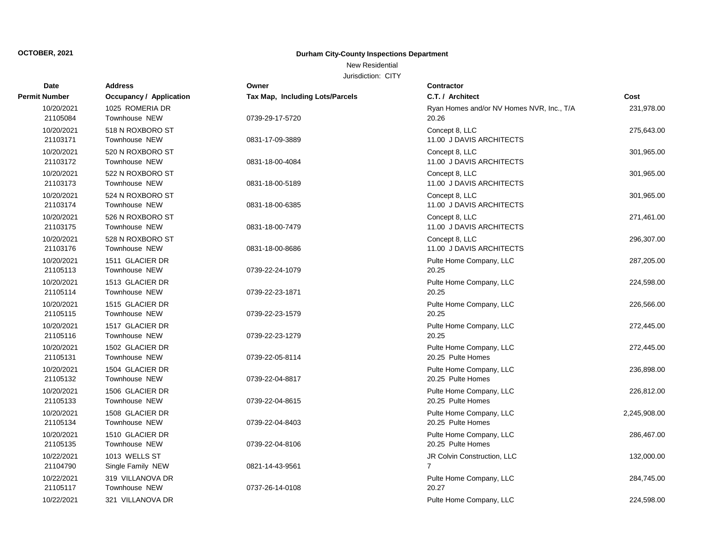New Residential

| Date                   | <b>Address</b>                           | Owner                           | Contractor                                         |              |
|------------------------|------------------------------------------|---------------------------------|----------------------------------------------------|--------------|
| <b>Permit Number</b>   | <b>Occupancy / Application</b>           | Tax Map, Including Lots/Parcels | C.T. / Architect                                   | Cost         |
| 10/20/2021<br>21105084 | 1025 ROMERIA DR<br><b>Townhouse NEW</b>  | 0739-29-17-5720                 | Ryan Homes and/or NV Homes NVR, Inc., T/A<br>20.26 | 231,978.00   |
| 10/20/2021<br>21103171 | 518 N ROXBORO ST<br><b>Townhouse NEW</b> | 0831-17-09-3889                 | Concept 8, LLC<br>11.00 J DAVIS ARCHITECTS         | 275,643.00   |
| 10/20/2021<br>21103172 | 520 N ROXBORO ST<br><b>Townhouse NEW</b> | 0831-18-00-4084                 | Concept 8, LLC<br>11.00 J DAVIS ARCHITECTS         | 301,965.00   |
| 10/20/2021<br>21103173 | 522 N ROXBORO ST<br><b>Townhouse NEW</b> | 0831-18-00-5189                 | Concept 8, LLC<br>11.00 J DAVIS ARCHITECTS         | 301,965.00   |
| 10/20/2021<br>21103174 | 524 N ROXBORO ST<br><b>Townhouse NEW</b> | 0831-18-00-6385                 | Concept 8, LLC<br>11.00 J DAVIS ARCHITECTS         | 301,965.00   |
| 10/20/2021<br>21103175 | 526 N ROXBORO ST<br><b>Townhouse NEW</b> | 0831-18-00-7479                 | Concept 8, LLC<br>11.00 J DAVIS ARCHITECTS         | 271,461.00   |
| 10/20/2021<br>21103176 | 528 N ROXBORO ST<br><b>Townhouse NEW</b> | 0831-18-00-8686                 | Concept 8, LLC<br>11.00 J DAVIS ARCHITECTS         | 296,307.00   |
| 10/20/2021<br>21105113 | 1511 GLACIER DR<br>Townhouse NEW         | 0739-22-24-1079                 | Pulte Home Company, LLC<br>20.25                   | 287,205.00   |
| 10/20/2021<br>21105114 | 1513 GLACIER DR<br><b>Townhouse NEW</b>  | 0739-22-23-1871                 | Pulte Home Company, LLC<br>20.25                   | 224,598.00   |
| 10/20/2021<br>21105115 | 1515 GLACIER DR<br><b>Townhouse NEW</b>  | 0739-22-23-1579                 | Pulte Home Company, LLC<br>20.25                   | 226,566.00   |
| 10/20/2021<br>21105116 | 1517 GLACIER DR<br>Townhouse NEW         | 0739-22-23-1279                 | Pulte Home Company, LLC<br>20.25                   | 272,445.00   |
| 10/20/2021<br>21105131 | 1502 GLACIER DR<br><b>Townhouse NEW</b>  | 0739-22-05-8114                 | Pulte Home Company, LLC<br>20.25 Pulte Homes       | 272,445.00   |
| 10/20/2021<br>21105132 | 1504 GLACIER DR<br>Townhouse NEW         | 0739-22-04-8817                 | Pulte Home Company, LLC<br>20.25 Pulte Homes       | 236,898.00   |
| 10/20/2021<br>21105133 | 1506 GLACIER DR<br><b>Townhouse NEW</b>  | 0739-22-04-8615                 | Pulte Home Company, LLC<br>20.25 Pulte Homes       | 226,812.00   |
| 10/20/2021<br>21105134 | 1508 GLACIER DR<br>Townhouse NEW         | 0739-22-04-8403                 | Pulte Home Company, LLC<br>20.25 Pulte Homes       | 2,245,908.00 |
| 10/20/2021<br>21105135 | 1510 GLACIER DR<br>Townhouse NEW         | 0739-22-04-8106                 | Pulte Home Company, LLC<br>20.25 Pulte Homes       | 286,467.00   |
| 10/22/2021<br>21104790 | 1013 WELLS ST<br>Single Family NEW       | 0821-14-43-9561                 | JR Colvin Construction, LLC<br>$\overline{7}$      | 132,000.00   |
| 10/22/2021<br>21105117 | 319 VILLANOVA DR<br><b>Townhouse NEW</b> | 0737-26-14-0108                 | Pulte Home Company, LLC<br>20.27                   | 284,745.00   |
| 10/22/2021             | 321 VILLANOVA DR                         |                                 | Pulte Home Company, LLC                            | 224,598.00   |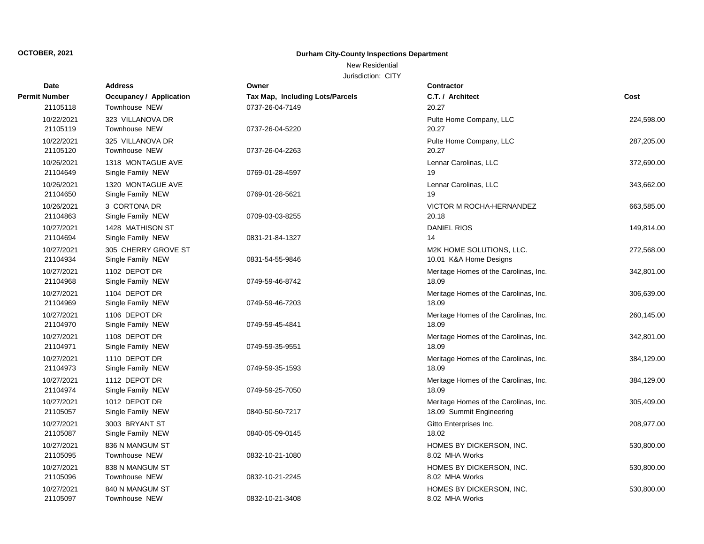### New Residential

| Date                   | <b>Address</b>                           | Owner                                  | <b>Contractor</b>                                                 |            |
|------------------------|------------------------------------------|----------------------------------------|-------------------------------------------------------------------|------------|
| <b>Permit Number</b>   | <b>Occupancy / Application</b>           | <b>Tax Map, Including Lots/Parcels</b> | C.T. / Architect                                                  | Cost       |
| 21105118               | Townhouse NEW                            | 0737-26-04-7149                        | 20.27                                                             |            |
| 10/22/2021<br>21105119 | 323 VILLANOVA DR<br><b>Townhouse NEW</b> | 0737-26-04-5220                        | Pulte Home Company, LLC<br>20.27                                  | 224,598.00 |
| 10/22/2021<br>21105120 | 325 VILLANOVA DR<br><b>Townhouse NEW</b> | 0737-26-04-2263                        | Pulte Home Company, LLC<br>20.27                                  | 287,205.00 |
| 10/26/2021<br>21104649 | 1318 MONTAGUE AVE<br>Single Family NEW   | 0769-01-28-4597                        | Lennar Carolinas, LLC<br>19                                       | 372,690.00 |
| 10/26/2021<br>21104650 | 1320 MONTAGUE AVE<br>Single Family NEW   | 0769-01-28-5621                        | Lennar Carolinas, LLC<br>19                                       | 343,662.00 |
| 10/26/2021<br>21104863 | 3 CORTONA DR<br>Single Family NEW        | 0709-03-03-8255                        | <b>VICTOR M ROCHA-HERNANDEZ</b><br>20.18                          | 663,585.00 |
| 10/27/2021<br>21104694 | 1428 MATHISON ST<br>Single Family NEW    | 0831-21-84-1327                        | <b>DANIEL RIOS</b><br>14                                          | 149,814.00 |
| 10/27/2021<br>21104934 | 305 CHERRY GROVE ST<br>Single Family NEW | 0831-54-55-9846                        | M2K HOME SOLUTIONS, LLC.<br>10.01 K&A Home Designs                | 272,568.00 |
| 10/27/2021<br>21104968 | 1102 DEPOT DR<br>Single Family NEW       | 0749-59-46-8742                        | Meritage Homes of the Carolinas, Inc.<br>18.09                    | 342,801.00 |
| 10/27/2021<br>21104969 | 1104 DEPOT DR<br>Single Family NEW       | 0749-59-46-7203                        | Meritage Homes of the Carolinas, Inc.<br>18.09                    | 306,639.00 |
| 10/27/2021<br>21104970 | 1106 DEPOT DR<br>Single Family NEW       | 0749-59-45-4841                        | Meritage Homes of the Carolinas, Inc.<br>18.09                    | 260,145.00 |
| 10/27/2021<br>21104971 | 1108 DEPOT DR<br>Single Family NEW       | 0749-59-35-9551                        | Meritage Homes of the Carolinas, Inc.<br>18.09                    | 342,801.00 |
| 10/27/2021<br>21104973 | 1110 DEPOT DR<br>Single Family NEW       | 0749-59-35-1593                        | Meritage Homes of the Carolinas, Inc.<br>18.09                    | 384,129.00 |
| 10/27/2021<br>21104974 | 1112 DEPOT DR<br>Single Family NEW       | 0749-59-25-7050                        | Meritage Homes of the Carolinas, Inc.<br>18.09                    | 384,129.00 |
| 10/27/2021<br>21105057 | 1012 DEPOT DR<br>Single Family NEW       | 0840-50-50-7217                        | Meritage Homes of the Carolinas, Inc.<br>18.09 Summit Engineering | 305,409.00 |
| 10/27/2021<br>21105087 | 3003 BRYANT ST<br>Single Family NEW      | 0840-05-09-0145                        | Gitto Enterprises Inc.<br>18.02                                   | 208,977.00 |
| 10/27/2021<br>21105095 | 836 N MANGUM ST<br>Townhouse NEW         | 0832-10-21-1080                        | HOMES BY DICKERSON, INC.<br>8.02 MHA Works                        | 530,800.00 |
| 10/27/2021<br>21105096 | 838 N MANGUM ST<br><b>Townhouse NEW</b>  | 0832-10-21-2245                        | HOMES BY DICKERSON, INC.<br>8.02 MHA Works                        | 530,800.00 |
| 10/27/2021<br>21105097 | 840 N MANGUM ST<br><b>Townhouse NEW</b>  | 0832-10-21-3408                        | HOMES BY DICKERSON, INC.<br>8.02 MHA Works                        | 530,800.00 |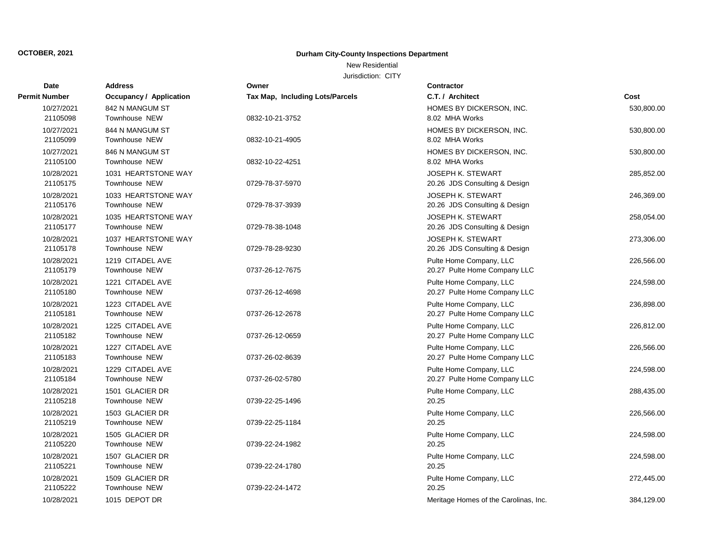New Residential

| <b>Date</b>            | <b>Address</b>                           | Owner                           | <b>Contractor</b>                                         |            |
|------------------------|------------------------------------------|---------------------------------|-----------------------------------------------------------|------------|
| <b>Permit Number</b>   | <b>Occupancy / Application</b>           | Tax Map, Including Lots/Parcels | C.T. / Architect                                          | Cost       |
| 10/27/2021<br>21105098 | 842 N MANGUM ST<br>Townhouse NEW         | 0832-10-21-3752                 | HOMES BY DICKERSON, INC.<br>8.02 MHA Works                | 530,800.00 |
| 10/27/2021<br>21105099 | 844 N MANGUM ST<br><b>Townhouse NEW</b>  | 0832-10-21-4905                 | HOMES BY DICKERSON, INC.<br>8.02 MHA Works                | 530,800.00 |
| 10/27/2021<br>21105100 | 846 N MANGUM ST<br>Townhouse NEW         | 0832-10-22-4251                 | HOMES BY DICKERSON. INC.<br>8.02 MHA Works                | 530,800.00 |
| 10/28/2021<br>21105175 | 1031 HEARTSTONE WAY<br>Townhouse NEW     | 0729-78-37-5970                 | <b>JOSEPH K. STEWART</b><br>20.26 JDS Consulting & Design | 285,852.00 |
| 10/28/2021<br>21105176 | 1033 HEARTSTONE WAY<br>Townhouse NEW     | 0729-78-37-3939                 | <b>JOSEPH K. STEWART</b><br>20.26 JDS Consulting & Design | 246,369.00 |
| 10/28/2021<br>21105177 | 1035 HEARTSTONE WAY<br>Townhouse NEW     | 0729-78-38-1048                 | <b>JOSEPH K. STEWART</b><br>20.26 JDS Consulting & Design | 258,054.00 |
| 10/28/2021<br>21105178 | 1037 HEARTSTONE WAY<br>Townhouse NEW     | 0729-78-28-9230                 | <b>JOSEPH K. STEWART</b><br>20.26 JDS Consulting & Design | 273,306.00 |
| 10/28/2021<br>21105179 | 1219 CITADEL AVE<br>Townhouse NEW        | 0737-26-12-7675                 | Pulte Home Company, LLC<br>20.27 Pulte Home Company LLC   | 226,566.00 |
| 10/28/2021<br>21105180 | 1221 CITADEL AVE<br>Townhouse NEW        | 0737-26-12-4698                 | Pulte Home Company, LLC<br>20.27 Pulte Home Company LLC   | 224,598.00 |
| 10/28/2021<br>21105181 | 1223 CITADEL AVE<br><b>Townhouse NEW</b> | 0737-26-12-2678                 | Pulte Home Company, LLC<br>20.27 Pulte Home Company LLC   | 236,898.00 |
| 10/28/2021<br>21105182 | 1225 CITADEL AVE<br><b>Townhouse NEW</b> | 0737-26-12-0659                 | Pulte Home Company, LLC<br>20.27 Pulte Home Company LLC   | 226,812.00 |
| 10/28/2021<br>21105183 | 1227 CITADEL AVE<br>Townhouse NEW        | 0737-26-02-8639                 | Pulte Home Company, LLC<br>20.27 Pulte Home Company LLC   | 226,566.00 |
| 10/28/2021<br>21105184 | 1229 CITADEL AVE<br>Townhouse NEW        | 0737-26-02-5780                 | Pulte Home Company, LLC<br>20.27 Pulte Home Company LLC   | 224,598.00 |
| 10/28/2021<br>21105218 | 1501 GLACIER DR<br>Townhouse NEW         | 0739-22-25-1496                 | Pulte Home Company, LLC<br>20.25                          | 288,435.00 |
| 10/28/2021<br>21105219 | 1503 GLACIER DR<br>Townhouse NEW         | 0739-22-25-1184                 | Pulte Home Company, LLC<br>20.25                          | 226,566.00 |
| 10/28/2021<br>21105220 | 1505 GLACIER DR<br>Townhouse NEW         | 0739-22-24-1982                 | Pulte Home Company, LLC<br>20.25                          | 224,598.00 |
| 10/28/2021<br>21105221 | 1507 GLACIER DR<br>Townhouse NEW         | 0739-22-24-1780                 | Pulte Home Company, LLC<br>20.25                          | 224,598.00 |
| 10/28/2021<br>21105222 | 1509 GLACIER DR<br><b>Townhouse NEW</b>  | 0739-22-24-1472                 | Pulte Home Company, LLC<br>20.25                          | 272,445.00 |
| 10/28/2021             | 1015 DEPOT DR                            |                                 | Meritage Homes of the Carolinas, Inc.                     | 384.129.00 |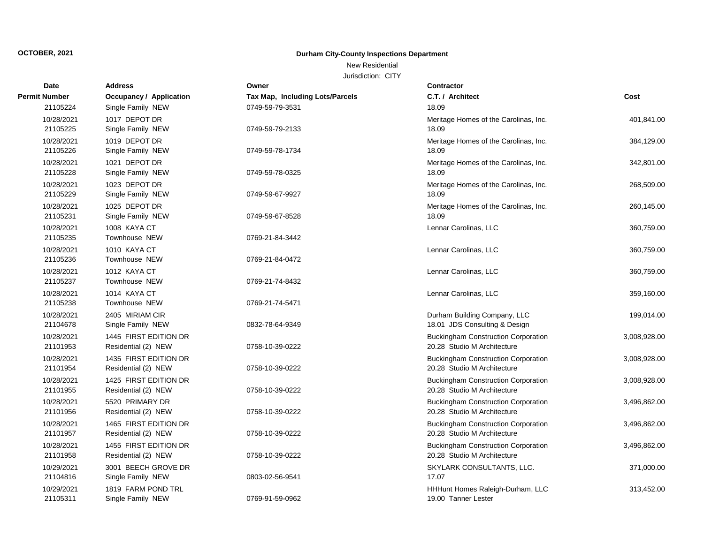### New Residential

| Date                   | <b>Address</b>                               | Owner                           | Contractor                                                                |              |
|------------------------|----------------------------------------------|---------------------------------|---------------------------------------------------------------------------|--------------|
| Permit Number          | <b>Occupancy / Application</b>               | Tax Map, Including Lots/Parcels | C.T. / Architect                                                          | Cost         |
| 21105224               | Single Family NEW                            | 0749-59-79-3531                 | 18.09                                                                     |              |
| 10/28/2021<br>21105225 | 1017 DEPOT DR<br>Single Family NEW           | 0749-59-79-2133                 | Meritage Homes of the Carolinas, Inc.<br>18.09                            | 401,841.00   |
| 10/28/2021<br>21105226 | 1019 DEPOT DR<br>Single Family NEW           | 0749-59-78-1734                 | Meritage Homes of the Carolinas, Inc.<br>18.09                            | 384,129.00   |
| 10/28/2021<br>21105228 | 1021 DEPOT DR<br>Single Family NEW           | 0749-59-78-0325                 | Meritage Homes of the Carolinas, Inc.<br>18.09                            | 342,801.00   |
| 10/28/2021<br>21105229 | 1023 DEPOT DR<br>Single Family NEW           | 0749-59-67-9927                 | Meritage Homes of the Carolinas, Inc.<br>18.09                            | 268,509.00   |
| 10/28/2021<br>21105231 | 1025 DEPOT DR<br>Single Family NEW           | 0749-59-67-8528                 | Meritage Homes of the Carolinas, Inc.<br>18.09                            | 260,145.00   |
| 10/28/2021<br>21105235 | 1008 KAYA CT<br>Townhouse NEW                | 0769-21-84-3442                 | Lennar Carolinas, LLC                                                     | 360,759.00   |
| 10/28/2021<br>21105236 | 1010 KAYA CT<br>Townhouse NEW                | 0769-21-84-0472                 | Lennar Carolinas, LLC                                                     | 360,759.00   |
| 10/28/2021<br>21105237 | 1012 KAYA CT<br><b>Townhouse NEW</b>         | 0769-21-74-8432                 | Lennar Carolinas, LLC                                                     | 360,759.00   |
| 10/28/2021<br>21105238 | 1014 KAYA CT<br>Townhouse NEW                | 0769-21-74-5471                 | Lennar Carolinas, LLC                                                     | 359,160.00   |
| 10/28/2021<br>21104678 | 2405 MIRIAM CIR<br>Single Family NEW         | 0832-78-64-9349                 | Durham Building Company, LLC<br>18.01 JDS Consulting & Design             | 199,014.00   |
| 10/28/2021<br>21101953 | 1445 FIRST EDITION DR<br>Residential (2) NEW | 0758-10-39-0222                 | <b>Buckingham Construction Corporation</b><br>20.28 Studio M Architecture | 3,008,928.00 |
| 10/28/2021<br>21101954 | 1435 FIRST EDITION DR<br>Residential (2) NEW | 0758-10-39-0222                 | <b>Buckingham Construction Corporation</b><br>20.28 Studio M Architecture | 3,008,928.00 |
| 10/28/2021<br>21101955 | 1425 FIRST EDITION DR<br>Residential (2) NEW | 0758-10-39-0222                 | <b>Buckingham Construction Corporation</b><br>20.28 Studio M Architecture | 3,008,928.00 |
| 10/28/2021<br>21101956 | 5520 PRIMARY DR<br>Residential (2) NEW       | 0758-10-39-0222                 | <b>Buckingham Construction Corporation</b><br>20.28 Studio M Architecture | 3,496,862.00 |
| 10/28/2021<br>21101957 | 1465 FIRST EDITION DR<br>Residential (2) NEW | 0758-10-39-0222                 | <b>Buckingham Construction Corporation</b><br>20.28 Studio M Architecture | 3,496,862.00 |
| 10/28/2021<br>21101958 | 1455 FIRST EDITION DR<br>Residential (2) NEW | 0758-10-39-0222                 | <b>Buckingham Construction Corporation</b><br>20.28 Studio M Architecture | 3,496,862.00 |
| 10/29/2021<br>21104816 | 3001 BEECH GROVE DR<br>Single Family NEW     | 0803-02-56-9541                 | SKYLARK CONSULTANTS, LLC.<br>17.07                                        | 371,000.00   |
| 10/29/2021<br>21105311 | 1819 FARM POND TRL<br>Single Family NEW      | 0769-91-59-0962                 | HHHunt Homes Raleigh-Durham, LLC<br>19.00 Tanner Lester                   | 313,452.00   |